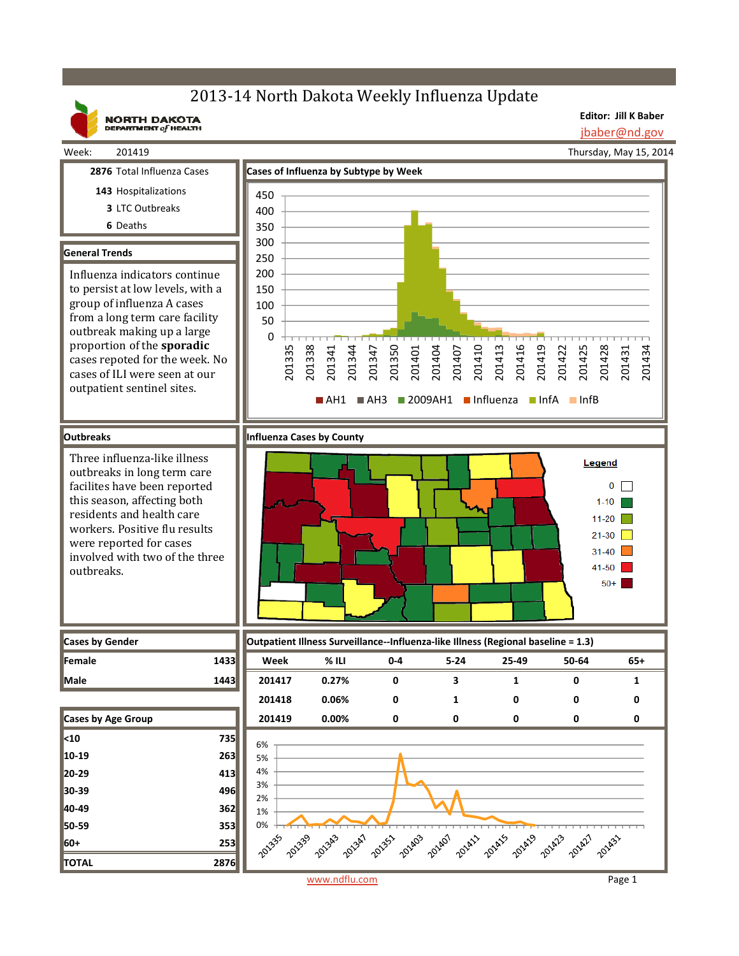# 2013-14 North Dakota Weekly Influenza Update



Week: 201419

**NORTH DAKOTA**<br>DEPARTMENT of HEALTH

**Editor: Jill K Baber** jbaber@nd.gov

Thursday, May 15, 2014